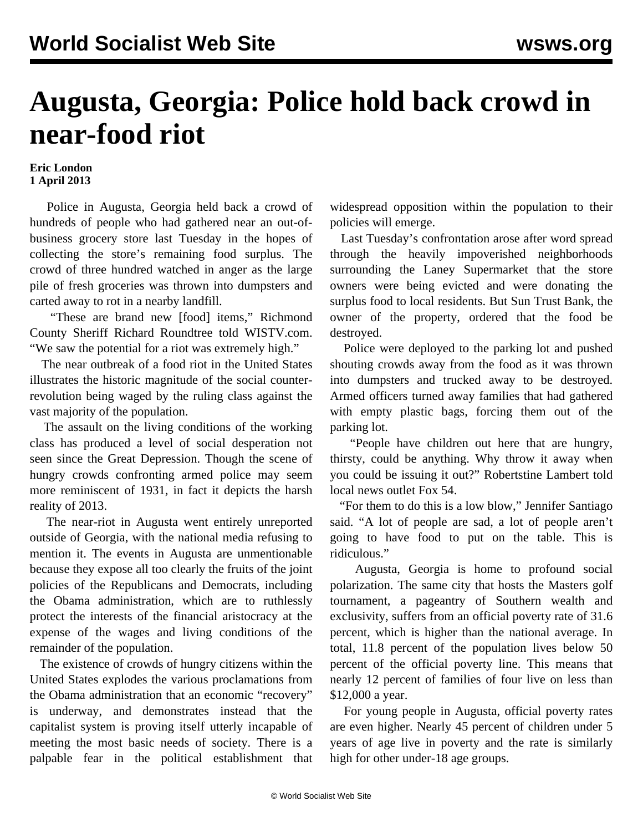## **Augusta, Georgia: Police hold back crowd in near-food riot**

## **Eric London 1 April 2013**

 Police in Augusta, Georgia held back a crowd of hundreds of people who had gathered near an out-ofbusiness grocery store last Tuesday in the hopes of collecting the store's remaining food surplus. The crowd of three hundred watched in anger as the large pile of fresh groceries was thrown into dumpsters and carted away to rot in a nearby landfill.

 "These are brand new [food] items," Richmond County Sheriff Richard Roundtree told WISTV.com. "We saw the potential for a riot was extremely high."

 The near outbreak of a food riot in the United States illustrates the historic magnitude of the social counterrevolution being waged by the ruling class against the vast majority of the population.

 The assault on the living conditions of the working class has produced a level of social desperation not seen since the Great Depression. Though the [scene](http://bit.ly/Z0bUpH) of hungry crowds confronting armed police may seem more reminiscent of 1931, in fact it depicts the harsh reality of 2013.

 The near-riot in Augusta went entirely unreported outside of Georgia, with the national media refusing to mention it. The events in Augusta are unmentionable because they expose all too clearly the fruits of the joint policies of the Republicans and Democrats, including the Obama administration, which are to ruthlessly protect the interests of the financial aristocracy at the expense of the wages and living conditions of the remainder of the population.

 The existence of crowds of hungry citizens within the United States explodes the various proclamations from the Obama administration that an economic "recovery" is underway, and demonstrates instead that the capitalist system is proving itself utterly incapable of meeting the most basic needs of society. There is a palpable fear in the political establishment that widespread opposition within the population to their policies will emerge.

 Last Tuesday's confrontation arose after word spread through the heavily impoverished neighborhoods surrounding the Laney Supermarket that the store owners were being evicted and were donating the surplus food to local residents. But Sun Trust Bank, the owner of the property, ordered that the food be destroyed.

 Police were deployed to the parking lot and pushed shouting crowds away from the food as it was thrown into dumpsters and trucked away to be destroyed. Armed officers turned away families that had gathered with empty plastic bags, forcing them out of the parking lot.

 "People have children out here that are hungry, thirsty, could be anything. Why throw it away when you could be issuing it out?" Robertstine Lambert told local news outlet Fox 54.

 "For them to do this is a low blow," Jennifer Santiago said. "A lot of people are sad, a lot of people aren't going to have food to put on the table. This is ridiculous."

 Augusta, Georgia is home to profound social polarization. The same city that hosts the Masters golf tournament, a pageantry of Southern wealth and exclusivity, suffers from an official poverty rate of 31.6 percent, which is higher than the national average. In total, 11.8 percent of the population lives below 50 percent of the official poverty line. This means that nearly 12 percent of families of four live on less than \$12,000 a year.

 For young people in Augusta, official poverty rates are even higher. Nearly 45 percent of children under 5 years of age live in poverty and the rate is similarly high for other under-18 age groups.